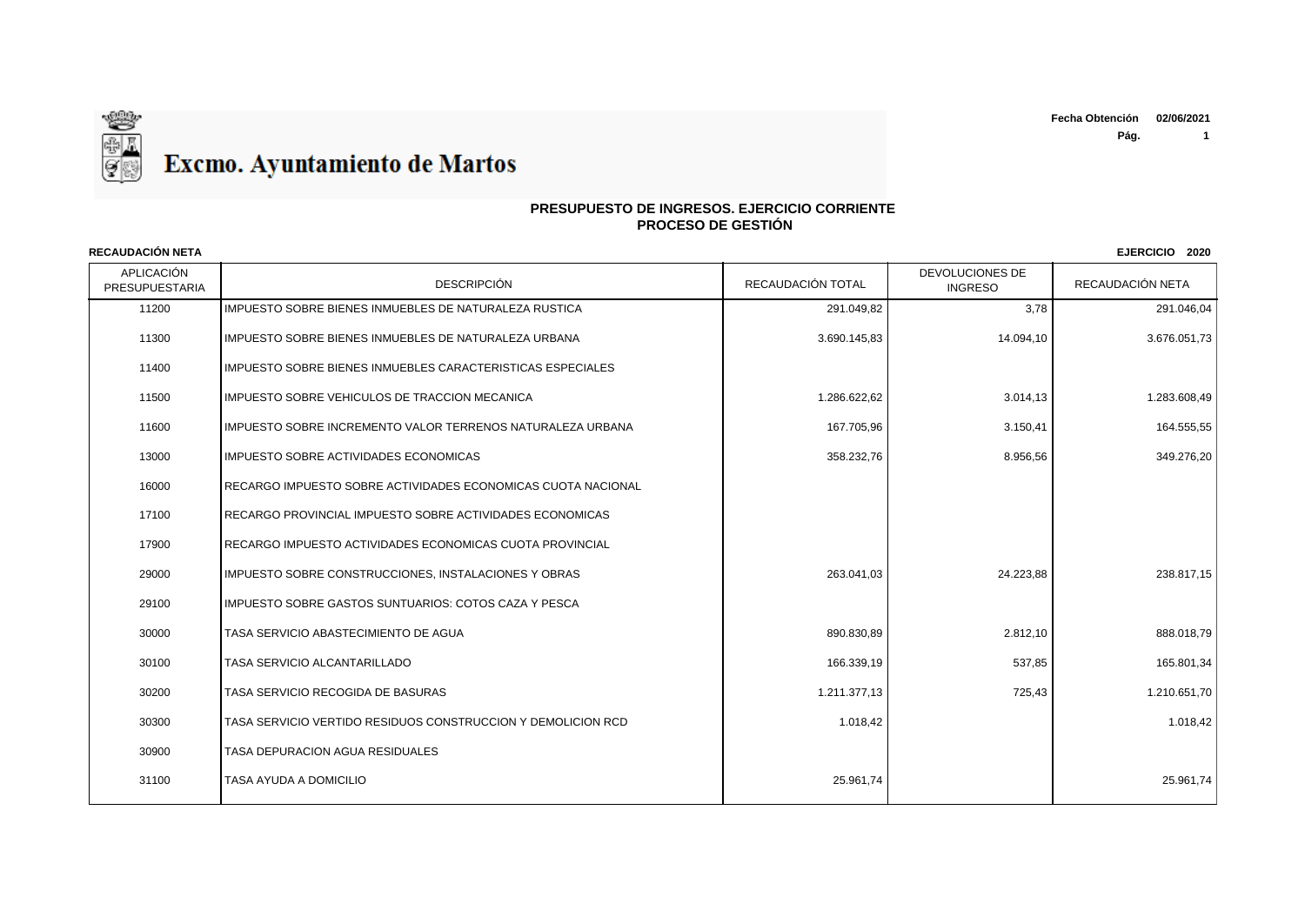

## **PRESUPUESTO DE INGRESOS. EJERCICIO CORRIENTE PROCESO DE GESTIÓN**

APLICACIÓN PRESUPUESTARIA | DESCRIPCIÓN DESCRIPCIÓN | RECAUDACIÓN TOTAL | TINGRESO DEVOLUCIONES DE RECAUDACIÓN NETA 11200 IMPUESTO SOBRE BIENES INMUEBLES DE NATURALEZA RUSTICA 291.049,82 291.049,82 3,78 3,78 291.046.04 11300 IMPUESTO SOBRE BIENES INMUEBLES DE NATURALEZA URBANA 3.690.145.83 | 3.690.145.83 | 14.094.10 | 3.676.051.73 11400 IMPUESTO SOBRE BIENES INMUEBLES CARACTERISTICAS ESPECIALES 11500 |IMPUESTO SOBRE VEHICULOS DE TRACCION MECANICA 1.286 1.286.622,62 | 3.014.13 | 3.014.13 | 1.283.608.49 11600 IMPUESTO SOBRE INCREMENTO VALOR TERRENOS NATURALEZA URBANA 167.705.96 167.705.96 3.150.41 3.150.41 164.555.55 13000 IMPUESTO SOBRE ACTIVIDADES ECONOMICAS 358.232,76 8.956,56 349.276,20 16000 RECARGO IMPUESTO SOBRE ACTIVIDADES ECONOMICAS CUOTA NACIONAL 17100 RECARGO PROVINCIAL IMPUESTO SOBRE ACTIVIDADES ECONOMICAS 17900 RECARGO IMPUESTO ACTIVIDADES ECONOMICAS CUOTA PROVINCIAL 29000 IMPUESTO SOBRE CONSTRUCCIONES, INSTALACIONES Y OBRAS 263.041,03 263.041,03 263.041,03 24.223,88 238.817,15 29100 | IMPUESTO SOBRE GASTOS SUNTUARIOS: COTOS CAZA Y PESCA 30000 TASA SERVICIO ABASTECIMIENTO DE AGUA 890.830,89 2.812,10 888.018,79 30100 TASA SERVICIO ALCANTARILLADO 166.339,19 537,85 165.801,34 30200 TASA SERVICIO RECOGIDA DE BASURAS 1.211.377,13 725,43 1.210.651,70 30300 TASA SERVICIO VERTIDO RESIDUOS CONSTRUCCION Y DEMOLICION RCD 1.018,42 1.018,42 30900 TASA DEPURACION AGUA RESIDUALES 31100 TASA AYUDA A DOMICILIO 25.961,74 25.961,74

### **RECAUDACIÓN NETA EJERCICIO 2020**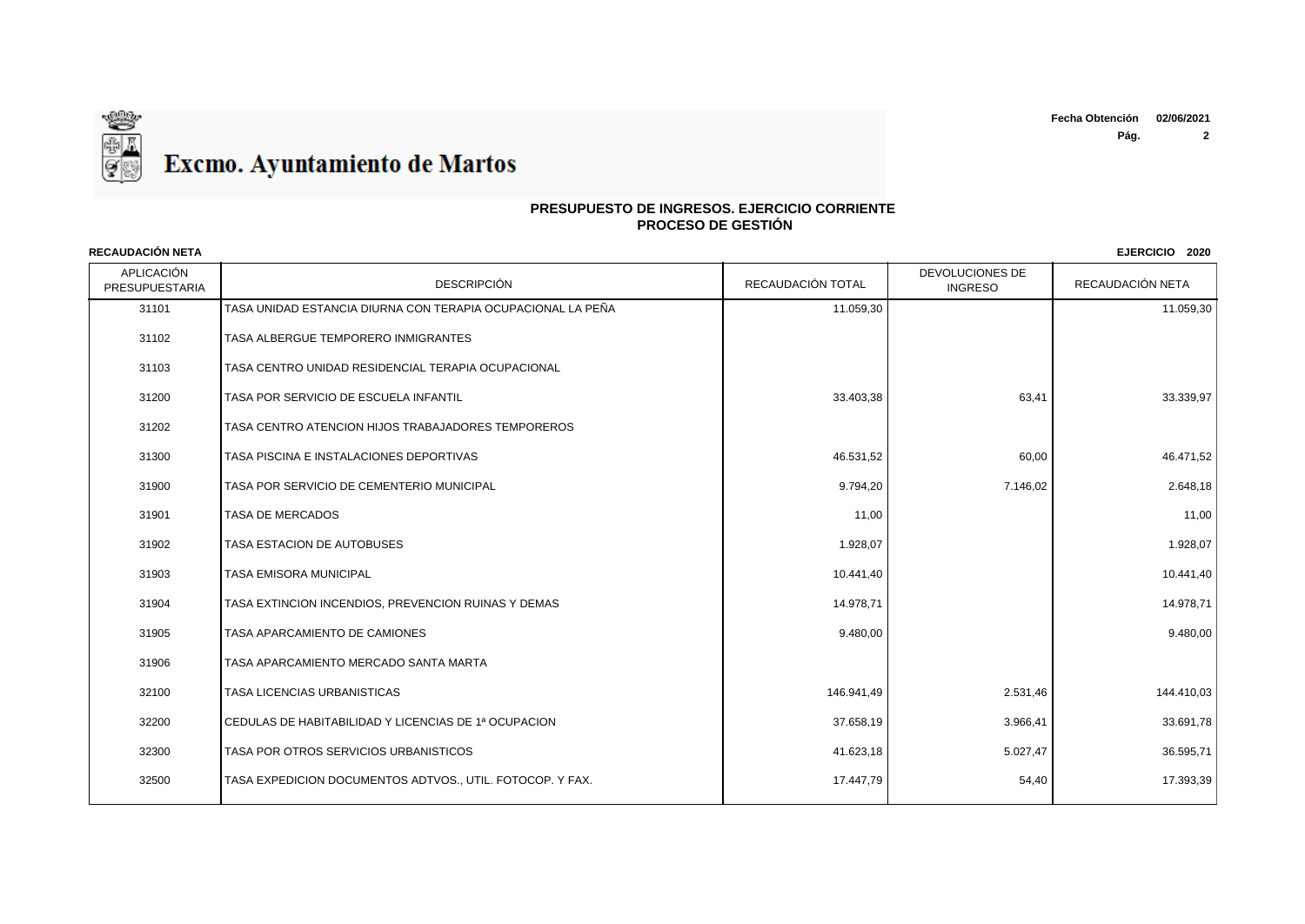

| <b>RECAUDACIÓN NETA</b><br>EJERCICIO 2020 |                                                             |                   |                                   |                  |
|-------------------------------------------|-------------------------------------------------------------|-------------------|-----------------------------------|------------------|
| <b>APLICACIÓN</b><br>PRESUPUESTARIA       | <b>DESCRIPCIÓN</b>                                          | RECAUDACIÓN TOTAL | DEVOLUCIONES DE<br><b>INGRESO</b> | RECAUDACIÓN NETA |
| 31101                                     | TASA UNIDAD ESTANCIA DIURNA CON TERAPIA OCUPACIONAL LA PEÑA | 11.059,30         |                                   | 11.059,30        |
| 31102                                     | TASA ALBERGUE TEMPORERO INMIGRANTES                         |                   |                                   |                  |
| 31103                                     | TASA CENTRO UNIDAD RESIDENCIAL TERAPIA OCUPACIONAL          |                   |                                   |                  |
| 31200                                     | TASA POR SERVICIO DE ESCUELA INFANTIL                       | 33.403,38         | 63,41                             | 33.339,97        |
| 31202                                     | TASA CENTRO ATENCION HIJOS TRABAJADORES TEMPOREROS          |                   |                                   |                  |
| 31300                                     | TASA PISCINA E INSTALACIONES DEPORTIVAS                     | 46.531,52         | 60,00                             | 46.471,52        |
| 31900                                     | TASA POR SERVICIO DE CEMENTERIO MUNICIPAL                   | 9.794,20          | 7.146,02                          | 2.648,18         |
| 31901                                     | <b>TASA DE MERCADOS</b>                                     | 11,00             |                                   | 11,00            |
| 31902                                     | TASA ESTACION DE AUTOBUSES                                  | 1.928,07          |                                   | 1.928,07         |
| 31903                                     | TASA EMISORA MUNICIPAL                                      | 10.441,40         |                                   | 10.441,40        |
| 31904                                     | TASA EXTINCION INCENDIOS, PREVENCION RUINAS Y DEMAS         | 14.978,71         |                                   | 14.978,71        |
| 31905                                     | TASA APARCAMIENTO DE CAMIONES                               | 9.480,00          |                                   | 9.480,00         |
| 31906                                     | TASA APARCAMIENTO MERCADO SANTA MARTA                       |                   |                                   |                  |
| 32100                                     | TASA LICENCIAS URBANISTICAS                                 | 146.941,49        | 2.531,46                          | 144.410,03       |
| 32200                                     | I CEDULAS DE HABITABILIDAD Y LICENCIAS DE 1ª OCUPACION      | 37.658,19         | 3.966,41                          | 33.691,78        |
| 32300                                     | TASA POR OTROS SERVICIOS URBANISTICOS                       | 41.623,18         | 5.027,47                          | 36.595,71        |
| 32500                                     | TASA EXPEDICION DOCUMENTOS ADTVOS., UTIL. FOTOCOP. Y FAX.   | 17.447,79         | 54,40                             | 17.393,39        |
|                                           |                                                             |                   |                                   |                  |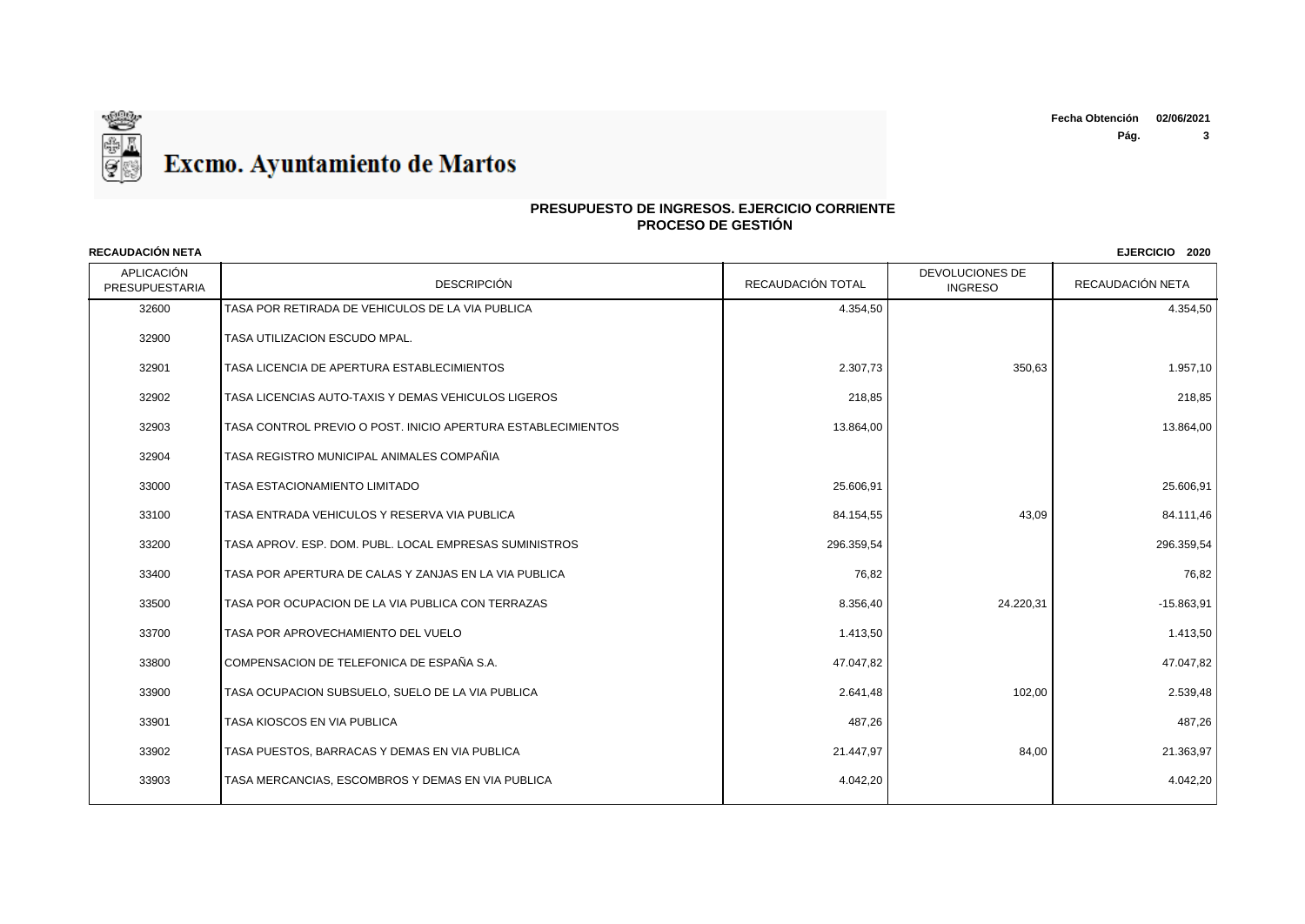

## **PRESUPUESTO DE INGRESOS. EJERCICIO CORRIENTE PROCESO DE GESTIÓN**

APLICACIÓN PRESUPUESTARIA | DESCRIPCIÓN DESCRIPCIÓN | RECAUDACIÓN TOTAL | TINGRESO DEVOLUCIONES DE RECAUDACIÓN NETA **RECAUDACIÓN NETA EJERCICIO 2020** TASA POR RETIRADA DE VEHICULOS DE LA VIA PUBLICA 4.354,50 4.354,50 TASA UTILIZACION ESCUDO MPAL. TASA LICENCIA DE APERTURA ESTABLECIMIENTOS 2.307,73 350,63 1.957,10 TASA LICENCIAS AUTO-TAXIS Y DEMAS VEHICULOS LIGEROS 218,85 218,85 TASA CONTROL PREVIO O POST. INICIO APERTURA ESTABLECIMIENTOS 13.864,00 13.864,00 TASA REGISTRO MUNICIPAL ANIMALES COMPAÑIA TASA ESTACIONAMIENTO LIMITADO 25.606,91 25.606,91 TASA ENTRADA VEHICULOS Y RESERVA VIA PUBLICA 84.154,55 43,09 84.111,46 TASA APROV. ESP. DOM. PUBL. LOCAL EMPRESAS SUMINISTROS 296.359,54 296.359,54 TASA POR APERTURA DE CALAS Y ZANJAS EN LA VIA PUBLICA 76,82 76,82 33500 TASA POR OCUPACION DE LA VIA PUBLICA CON TERRAZAS 8 2.356,40 3.356,40 3.356,40 24.220,31 -15.863,91 TASA POR APROVECHAMIENTO DEL VUELO 1.413,50 1.413,50 COMPENSACION DE TELEFONICA DE ESPAÑA S.A. 47.047,82 47.047,82 TASA OCUPACION SUBSUELO, SUELO DE LA VIA PUBLICA 2.641,48 102,00 2.539,48 TASA KIOSCOS EN VIA PUBLICA 487,26 487,26 33902 TASA PUESTOS. BARRACAS Y DEMAS EN VIA PUBLICA 21.25 AND 21.25 21.447.97 21.447.97 84.00 84.00 21.363.97 TASA MERCANCIAS, ESCOMBROS Y DEMAS EN VIA PUBLICA 4.042,20 4.042,20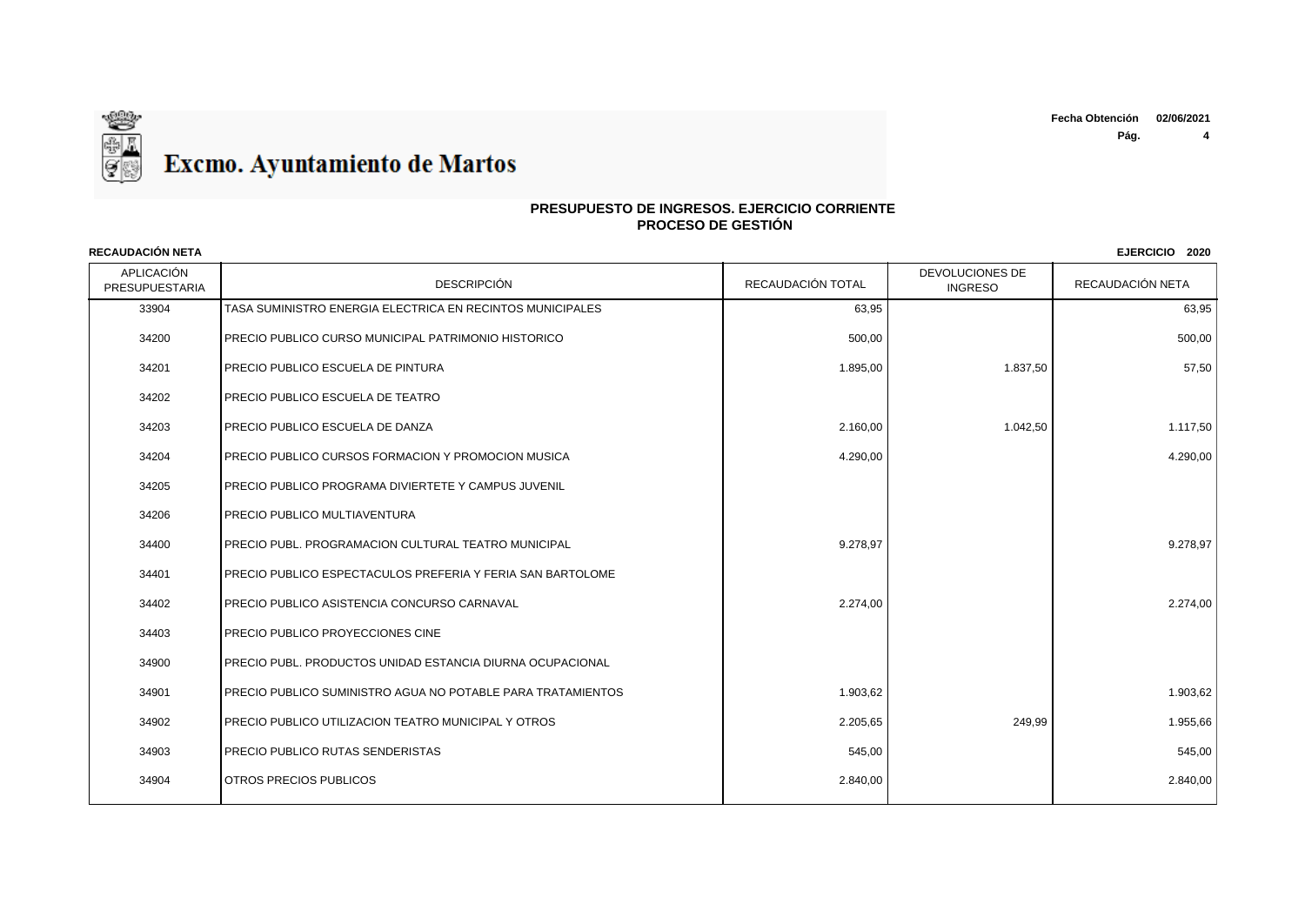**Pág. 4**



| <b>RECAUDACIÓN NETA</b><br>EJERCICIO 2020 |                                                             |                   |                                   |                  |
|-------------------------------------------|-------------------------------------------------------------|-------------------|-----------------------------------|------------------|
| <b>APLICACIÓN</b><br>PRESUPUESTARIA       | <b>DESCRIPCIÓN</b>                                          | RECAUDACIÓN TOTAL | DEVOLUCIONES DE<br><b>INGRESO</b> | RECAUDACIÓN NETA |
| 33904                                     | TASA SUMINISTRO ENERGIA ELECTRICA EN RECINTOS MUNICIPALES   | 63,95             |                                   | 63,95            |
| 34200                                     | PRECIO PUBLICO CURSO MUNICIPAL PATRIMONIO HISTORICO         | 500,00            |                                   | 500,00           |
| 34201                                     | PRECIO PUBLICO ESCUELA DE PINTURA                           | 1.895,00          | 1.837,50                          | 57,50            |
| 34202                                     | PRECIO PUBLICO ESCUELA DE TEATRO                            |                   |                                   |                  |
| 34203                                     | PRECIO PUBLICO ESCUELA DE DANZA                             | 2.160,00          | 1.042,50                          | 1.117,50         |
| 34204                                     | PRECIO PUBLICO CURSOS FORMACION Y PROMOCION MUSICA          | 4.290,00          |                                   | 4.290,00         |
| 34205                                     | PRECIO PUBLICO PROGRAMA DIVIERTETE Y CAMPUS JUVENIL         |                   |                                   |                  |
| 34206                                     | <b>PRECIO PUBLICO MULTIAVENTURA</b>                         |                   |                                   |                  |
| 34400                                     | PRECIO PUBL. PROGRAMACION CULTURAL TEATRO MUNICIPAL         | 9.278,97          |                                   | 9.278,97         |
| 34401                                     | PRECIO PUBLICO ESPECTACULOS PREFERIA Y FERIA SAN BARTOLOME  |                   |                                   |                  |
| 34402                                     | PRECIO PUBLICO ASISTENCIA CONCURSO CARNAVAL                 | 2.274,00          |                                   | 2.274,00         |
| 34403                                     | PRECIO PUBLICO PROYECCIONES CINE                            |                   |                                   |                  |
| 34900                                     | PRECIO PUBL. PRODUCTOS UNIDAD ESTANCIA DIURNA OCUPACIONAL   |                   |                                   |                  |
| 34901                                     | PRECIO PUBLICO SUMINISTRO AGUA NO POTABLE PARA TRATAMIENTOS | 1.903,62          |                                   | 1.903,62         |
| 34902                                     | PRECIO PUBLICO UTILIZACION TEATRO MUNICIPAL Y OTROS         | 2.205,65          | 249.99                            | 1.955,66         |
| 34903                                     | <b>PRECIO PUBLICO RUTAS SENDERISTAS</b>                     | 545,00            |                                   | 545,00           |
| 34904                                     | <b>OTROS PRECIOS PUBLICOS</b>                               | 2.840,00          |                                   | 2.840,00         |
|                                           |                                                             |                   |                                   |                  |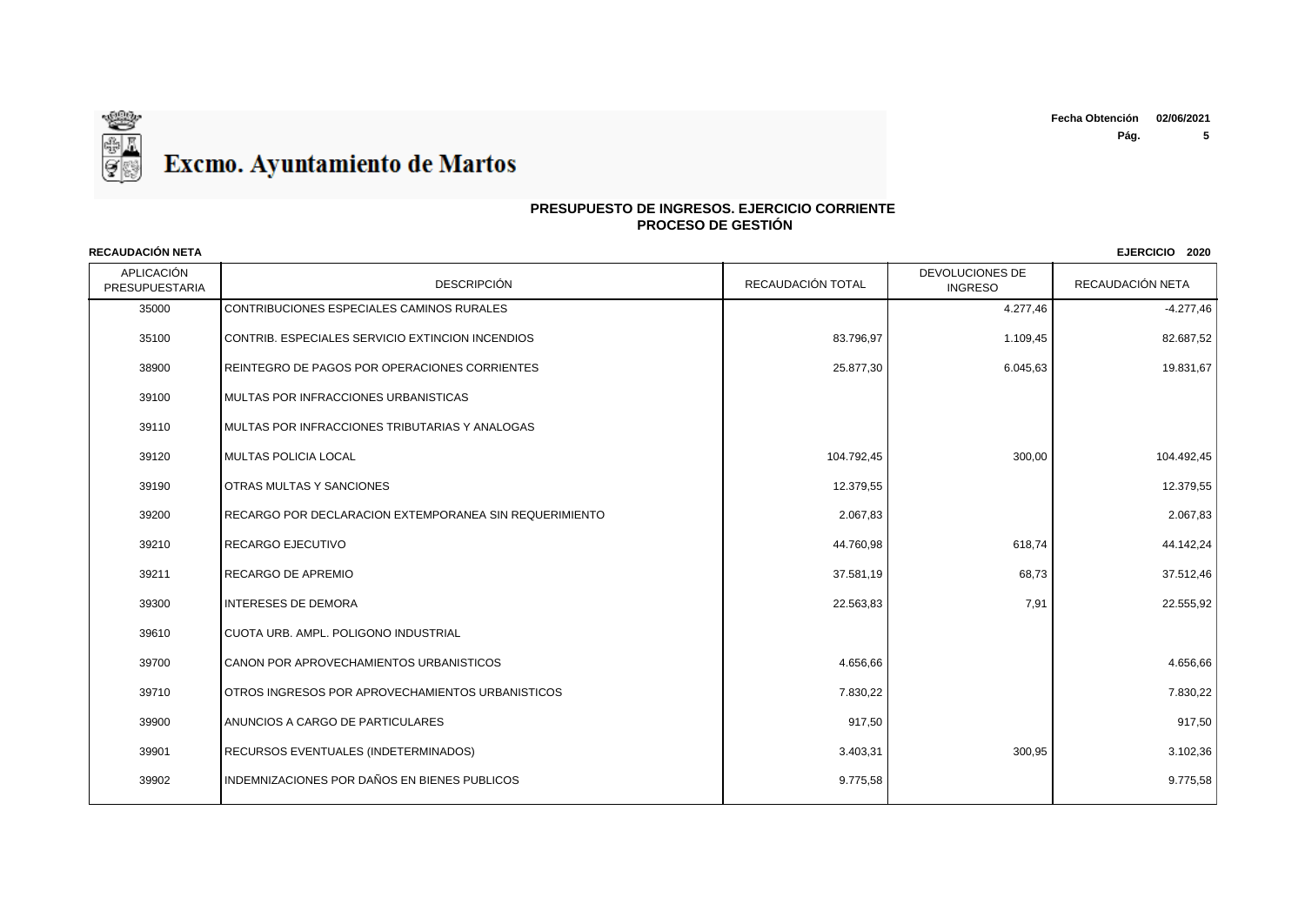

| <b>RECAUDACIÓN NETA</b>      |                                                        |                   |                                   | EJERCICIO 2020   |
|------------------------------|--------------------------------------------------------|-------------------|-----------------------------------|------------------|
| APLICACIÓN<br>PRESUPUESTARIA | <b>DESCRIPCIÓN</b>                                     | RECAUDACIÓN TOTAL | DEVOLUCIONES DE<br><b>INGRESO</b> | RECAUDACIÓN NETA |
| 35000                        | CONTRIBUCIONES ESPECIALES CAMINOS RURALES              |                   | 4.277,46                          | $-4.277,46$      |
| 35100                        | CONTRIB. ESPECIALES SERVICIO EXTINCION INCENDIOS       | 83.796,97         | 1.109,45                          | 82.687,52        |
| 38900                        | REINTEGRO DE PAGOS POR OPERACIONES CORRIENTES          | 25.877,30         | 6.045,63                          | 19.831,67        |
| 39100                        | MULTAS POR INFRACCIONES URBANISTICAS                   |                   |                                   |                  |
| 39110                        | MULTAS POR INFRACCIONES TRIBUTARIAS Y ANALOGAS         |                   |                                   |                  |
| 39120                        | <b>MULTAS POLICIA LOCAL</b>                            | 104.792,45        | 300,00                            | 104.492,45       |
| 39190                        | OTRAS MULTAS Y SANCIONES                               | 12.379,55         |                                   | 12.379,55        |
| 39200                        | RECARGO POR DECLARACION EXTEMPORANEA SIN REQUERIMIENTO | 2.067,83          |                                   | 2.067,83         |
| 39210                        | <b>RECARGO EJECUTIVO</b>                               | 44.760,98         | 618,74                            | 44.142,24        |
| 39211                        | <b>RECARGO DE APREMIO</b>                              | 37.581,19         | 68,73                             | 37.512,46        |
| 39300                        | <b>INTERESES DE DEMORA</b>                             | 22.563,83         | 7,91                              | 22.555,92        |
| 39610                        | CUOTA URB. AMPL. POLIGONO INDUSTRIAL                   |                   |                                   |                  |
| 39700                        | CANON POR APROVECHAMIENTOS URBANISTICOS                | 4.656,66          |                                   | 4.656,66         |
| 39710                        | OTROS INGRESOS POR APROVECHAMIENTOS URBANISTICOS       | 7.830,22          |                                   | 7.830,22         |
| 39900                        | ANUNCIOS A CARGO DE PARTICULARES                       | 917,50            |                                   | 917,50           |
| 39901                        | RECURSOS EVENTUALES (INDETERMINADOS)                   | 3.403,31          | 300,95                            | 3.102,36         |
| 39902                        | INDEMNIZACIONES POR DAÑOS EN BIENES PUBLICOS           | 9.775,58          |                                   | 9.775,58         |
|                              |                                                        |                   |                                   |                  |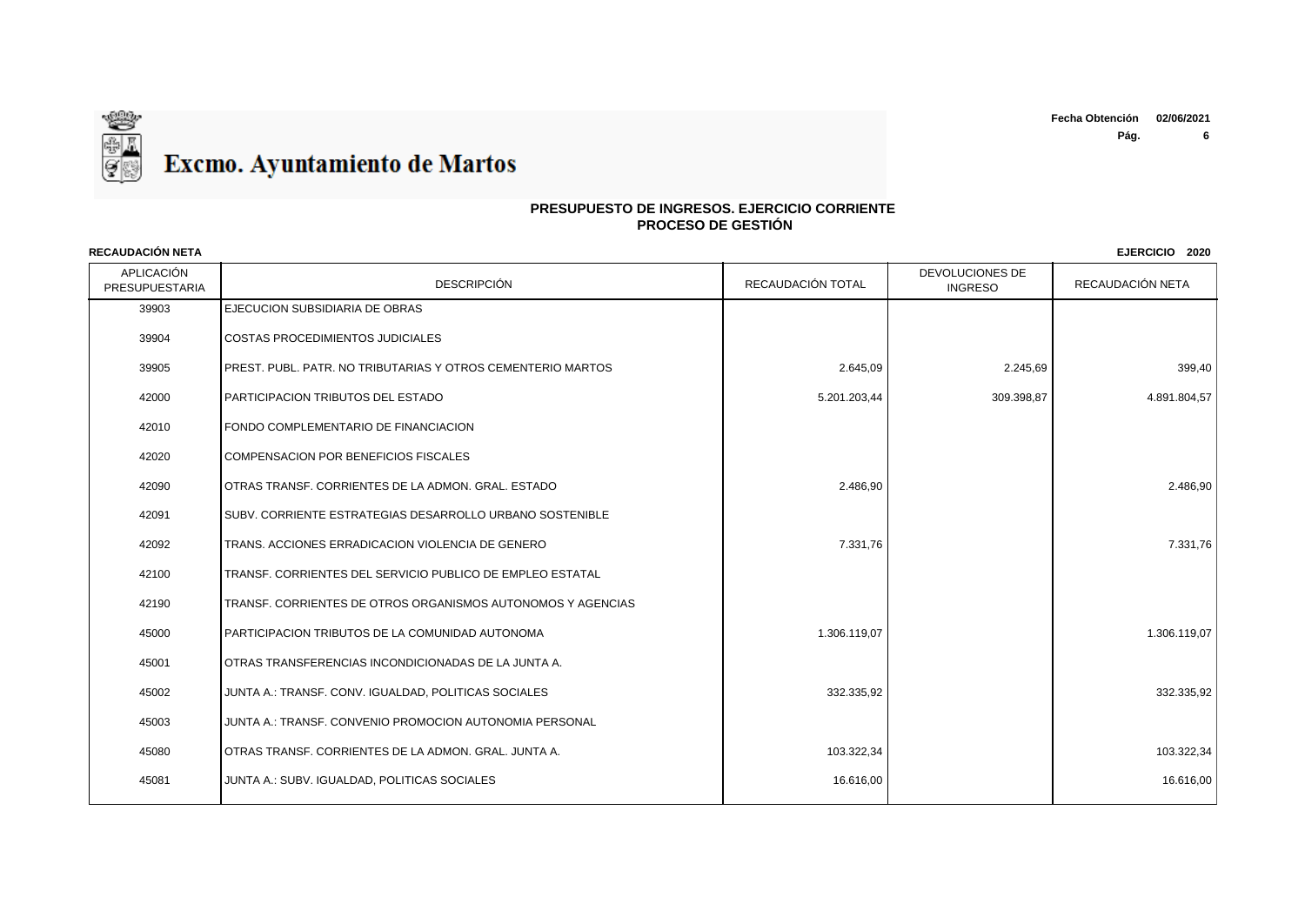

| <b>RECAUDACION NETA</b><br>EJERCICIO 2020 |                                                             |                   |                                          |                  |
|-------------------------------------------|-------------------------------------------------------------|-------------------|------------------------------------------|------------------|
| APLICACIÓN<br>PRESUPUESTARIA              | <b>DESCRIPCIÓN</b>                                          | RECAUDACIÓN TOTAL | <b>DEVOLUCIONES DE</b><br><b>INGRESO</b> | RECAUDACIÓN NETA |
| 39903                                     | EJECUCION SUBSIDIARIA DE OBRAS                              |                   |                                          |                  |
| 39904                                     | COSTAS PROCEDIMIENTOS JUDICIALES                            |                   |                                          |                  |
| 39905                                     | PREST. PUBL. PATR. NO TRIBUTARIAS Y OTROS CEMENTERIO MARTOS | 2.645,09          | 2.245,69                                 | 399,40           |
| 42000                                     | PARTICIPACION TRIBUTOS DEL ESTADO                           | 5.201.203,44      | 309.398,87                               | 4.891.804,57     |
| 42010                                     | FONDO COMPLEMENTARIO DE FINANCIACION                        |                   |                                          |                  |
| 42020                                     | COMPENSACION POR BENEFICIOS FISCALES                        |                   |                                          |                  |
| 42090                                     | OTRAS TRANSF. CORRIENTES DE LA ADMON. GRAL. ESTADO          | 2.486,90          |                                          | 2.486,90         |
| 42091                                     | SUBV. CORRIENTE ESTRATEGIAS DESARROLLO URBANO SOSTENIBLE    |                   |                                          |                  |
| 42092                                     | TRANS. ACCIONES ERRADICACION VIOLENCIA DE GENERO            | 7.331,76          |                                          | 7.331,76         |
| 42100                                     | TRANSF. CORRIENTES DEL SERVICIO PUBLICO DE EMPLEO ESTATAL   |                   |                                          |                  |
| 42190                                     | TRANSF. CORRIENTES DE OTROS ORGANISMOS AUTONOMOS Y AGENCIAS |                   |                                          |                  |
| 45000                                     | PARTICIPACION TRIBUTOS DE LA COMUNIDAD AUTONOMA             | 1.306.119,07      |                                          | 1.306.119,07     |
| 45001                                     | OTRAS TRANSFERENCIAS INCONDICIONADAS DE LA JUNTA A.         |                   |                                          |                  |
| 45002                                     | JUNTA A.: TRANSF. CONV. IGUALDAD, POLITICAS SOCIALES        | 332.335,92        |                                          | 332.335,92       |
| 45003                                     | JUNTA A.: TRANSF, CONVENIO PROMOCION AUTONOMIA PERSONAL     |                   |                                          |                  |
| 45080                                     | OTRAS TRANSF. CORRIENTES DE LA ADMON. GRAL. JUNTA A.        | 103.322,34        |                                          | 103.322,34       |
| 45081                                     | JUNTA A.: SUBV. IGUALDAD, POLITICAS SOCIALES                | 16.616,00         |                                          | 16.616,00        |
|                                           |                                                             |                   |                                          |                  |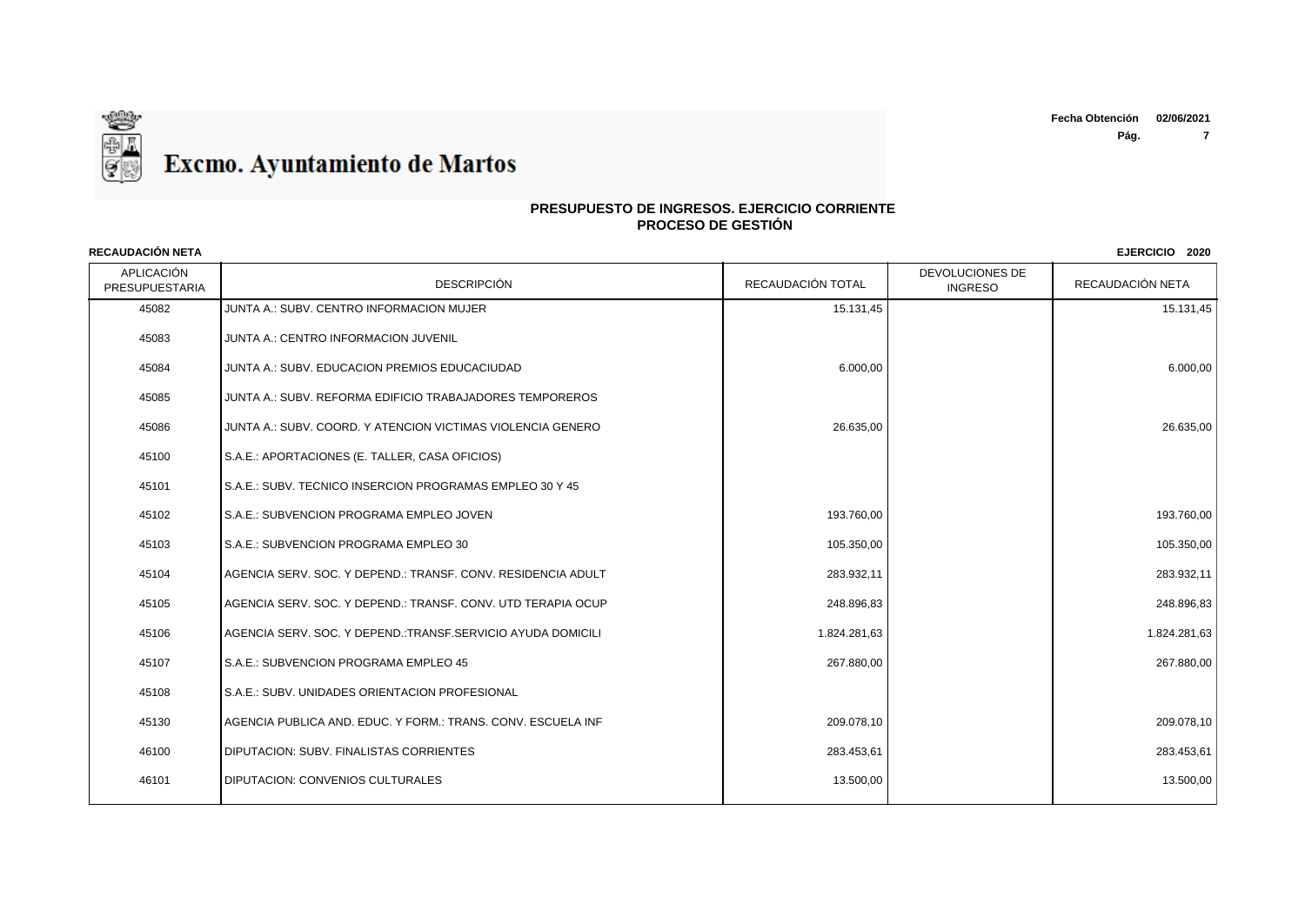

| <b>RECAUDACIÓN NETA</b><br>EJERCICIO 2020 |                                                              |                   |                                   |                  |
|-------------------------------------------|--------------------------------------------------------------|-------------------|-----------------------------------|------------------|
| APLICACIÓN<br>PRESUPUESTARIA              | <b>DESCRIPCIÓN</b>                                           | RECAUDACIÓN TOTAL | DEVOLUCIONES DE<br><b>INGRESO</b> | RECAUDACIÓN NETA |
| 45082                                     | JUNTA A.: SUBV, CENTRO INFORMACION MUJER                     | 15.131,45         |                                   | 15.131,45        |
| 45083                                     | JUNTA A.: CENTRO INFORMACION JUVENIL                         |                   |                                   |                  |
| 45084                                     | JUNTA A.: SUBV. EDUCACION PREMIOS EDUCACIUDAD                | 6.000,00          |                                   | 6.000,00         |
| 45085                                     | JUNTA A.: SUBV. REFORMA EDIFICIO TRABAJADORES TEMPOREROS     |                   |                                   |                  |
| 45086                                     | JUNTA A.: SUBV. COORD. Y ATENCION VICTIMAS VIOLENCIA GENERO  | 26.635,00         |                                   | 26.635,00        |
| 45100                                     | S.A.E.: APORTACIONES (E. TALLER, CASA OFICIOS)               |                   |                                   |                  |
| 45101                                     | S.A.E.: SUBV. TECNICO INSERCION PROGRAMAS EMPLEO 30 Y 45     |                   |                                   |                  |
| 45102                                     | S.A.E.: SUBVENCION PROGRAMA EMPLEO JOVEN                     | 193.760,00        |                                   | 193.760,00       |
| 45103                                     | S.A.E.: SUBVENCION PROGRAMA EMPLEO 30                        | 105.350,00        |                                   | 105.350,00       |
| 45104                                     | AGENCIA SERV. SOC. Y DEPEND.: TRANSF. CONV. RESIDENCIA ADULT | 283.932,11        |                                   | 283.932,11       |
| 45105                                     | AGENCIA SERV. SOC. Y DEPEND.: TRANSF. CONV. UTD TERAPIA OCUP | 248.896,83        |                                   | 248.896,83       |
| 45106                                     | AGENCIA SERV. SOC. Y DEPEND.:TRANSF.SERVICIO AYUDA DOMICILI  | 1.824.281,63      |                                   | 1.824.281,63     |
| 45107                                     | S.A.E.: SUBVENCION PROGRAMA EMPLEO 45                        | 267.880,00        |                                   | 267.880,00       |
| 45108                                     | S.A.E.: SUBV. UNIDADES ORIENTACION PROFESIONAL               |                   |                                   |                  |
| 45130                                     | AGENCIA PUBLICA AND. EDUC. Y FORM.: TRANS. CONV. ESCUELA INF | 209.078,10        |                                   | 209.078,10       |
| 46100                                     | DIPUTACION: SUBV. FINALISTAS CORRIENTES                      | 283.453,61        |                                   | 283.453,61       |
| 46101                                     | DIPUTACION: CONVENIOS CULTURALES                             | 13.500,00         |                                   | 13.500,00        |
|                                           |                                                              |                   |                                   |                  |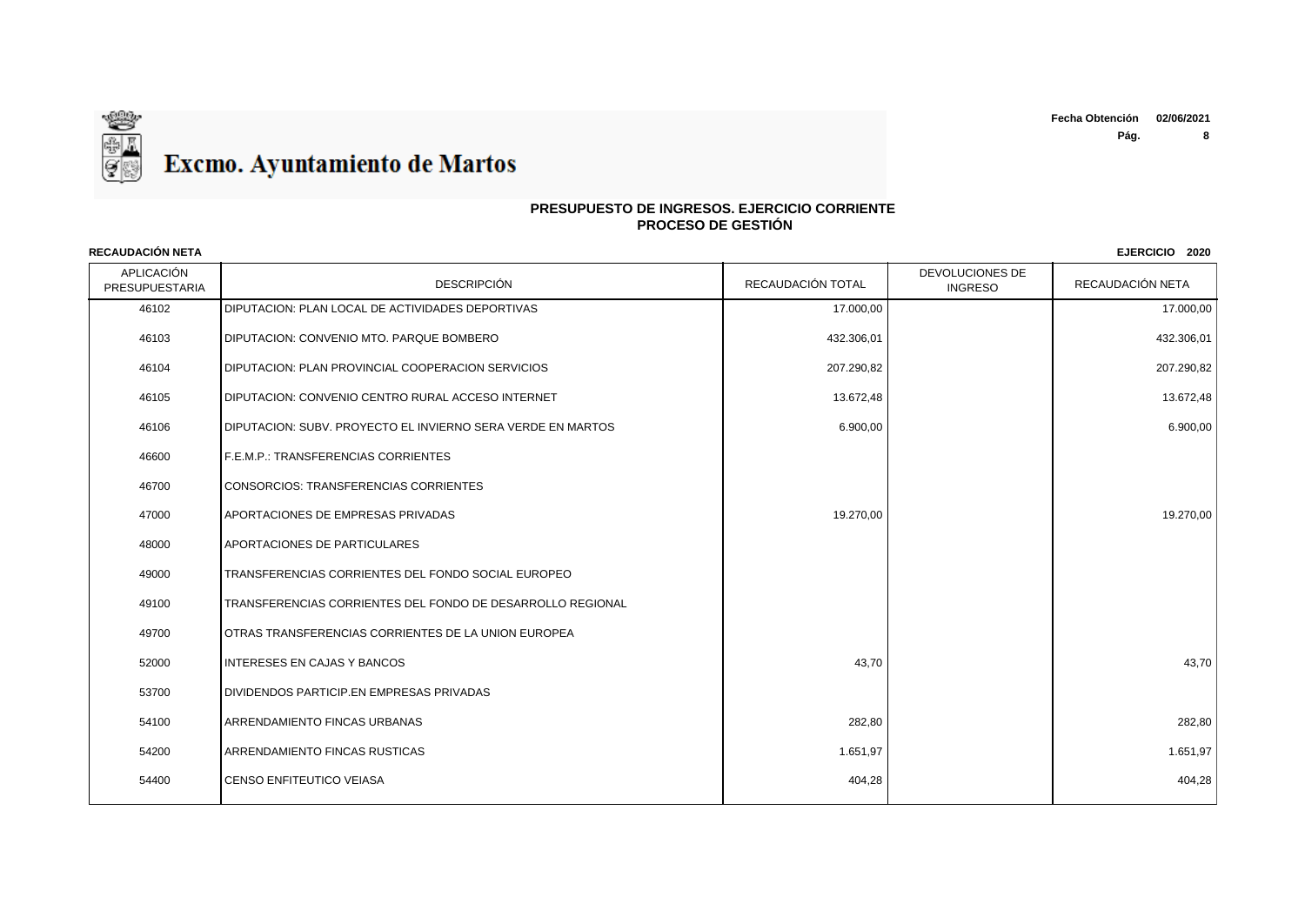

# **PRESUPUESTO DE INGRESOS. EJERCICIO CORRIENTE PROCESO DE GESTIÓN**

| <b>RECAUDACIÓN NETA</b><br>EJERCICIO 2020 |                                                             |                   |                                   |                  |
|-------------------------------------------|-------------------------------------------------------------|-------------------|-----------------------------------|------------------|
| APLICACIÓN<br><b>PRESUPUESTARIA</b>       | <b>DESCRIPCIÓN</b>                                          | RECAUDACIÓN TOTAL | DEVOLUCIONES DE<br><b>INGRESO</b> | RECAUDACIÓN NETA |
| 46102                                     | DIPUTACION: PLAN LOCAL DE ACTIVIDADES DEPORTIVAS            | 17.000,00         |                                   | 17.000,00        |
| 46103                                     | DIPUTACION: CONVENIO MTO. PARQUE BOMBERO                    | 432.306,01        |                                   | 432.306,01       |
| 46104                                     | DIPUTACION: PLAN PROVINCIAL COOPERACION SERVICIOS           | 207.290,82        |                                   | 207.290,82       |
| 46105                                     | DIPUTACION: CONVENIO CENTRO RURAL ACCESO INTERNET           | 13.672,48         |                                   | 13.672,48        |
| 46106                                     | DIPUTACION: SUBV. PROYECTO EL INVIERNO SERA VERDE EN MARTOS | 6.900,00          |                                   | 6.900,00         |
| 46600                                     | F.E.M.P.: TRANSFERENCIAS CORRIENTES                         |                   |                                   |                  |
| 46700                                     | <b>CONSORCIOS: TRANSFERENCIAS CORRIENTES</b>                |                   |                                   |                  |
| 47000                                     | APORTACIONES DE EMPRESAS PRIVADAS                           | 19.270,00         |                                   | 19.270,00        |
| 48000                                     | APORTACIONES DE PARTICULARES                                |                   |                                   |                  |
| 49000                                     | TRANSFERENCIAS CORRIENTES DEL FONDO SOCIAL EUROPEO          |                   |                                   |                  |
| 49100                                     | TRANSFERENCIAS CORRIENTES DEL FONDO DE DESARROLLO REGIONAL  |                   |                                   |                  |
| 49700                                     | OTRAS TRANSFERENCIAS CORRIENTES DE LA UNION EUROPEA         |                   |                                   |                  |
| 52000                                     | <b>INTERESES EN CAJAS Y BANCOS</b>                          | 43,70             |                                   | 43,70            |
| 53700                                     | DIVIDENDOS PARTICIP.EN EMPRESAS PRIVADAS                    |                   |                                   |                  |
| 54100                                     | ARRENDAMIENTO FINCAS URBANAS                                | 282,80            |                                   | 282,80           |
| 54200                                     | ARRENDAMIENTO FINCAS RUSTICAS                               | 1.651,97          |                                   | 1.651,97         |
| 54400                                     | <b>CENSO ENFITEUTICO VEIASA</b>                             | 404,28            |                                   | 404,28           |
|                                           |                                                             |                   |                                   |                  |

# ❤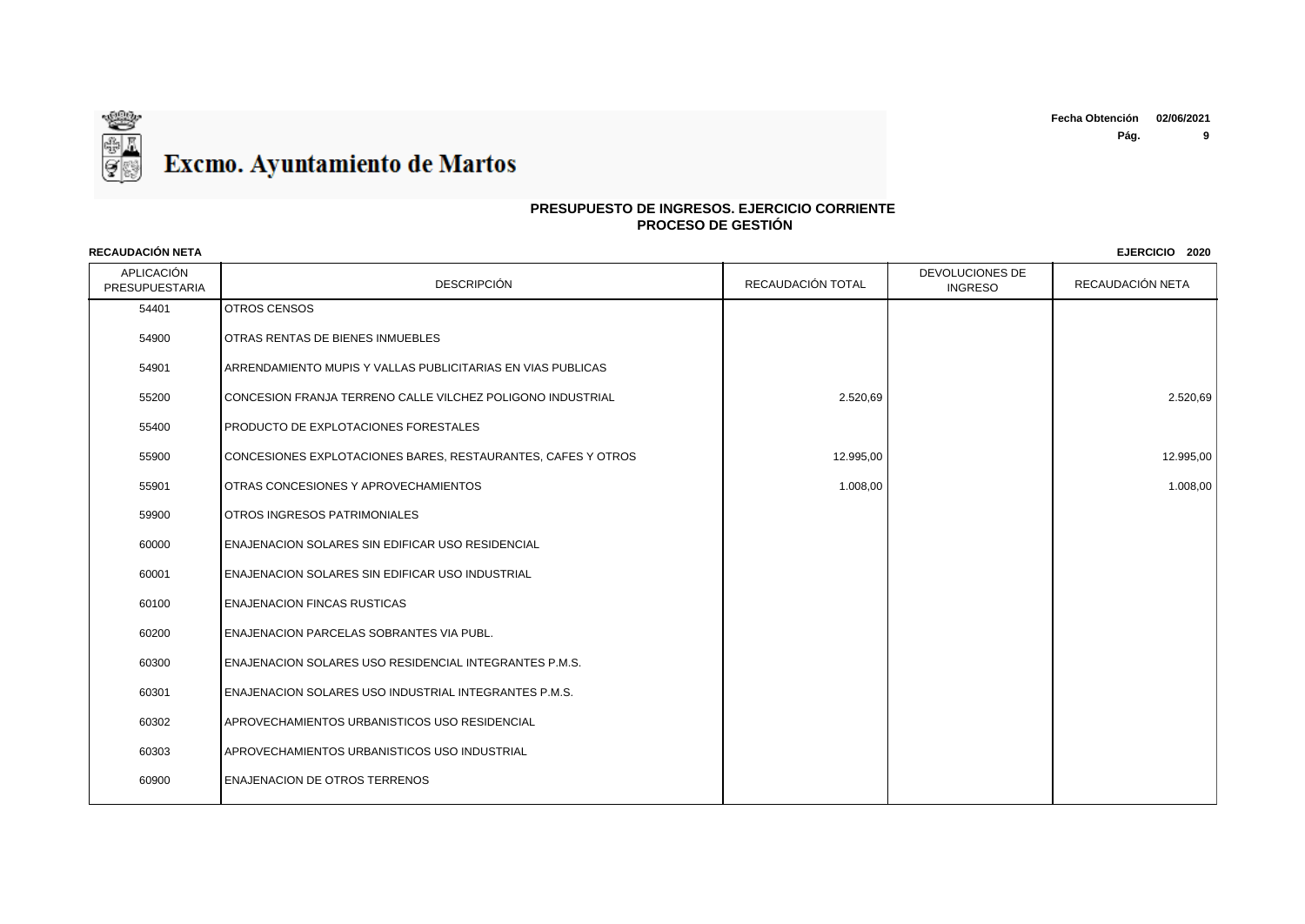

| <b>RECAUDACIÓN NETA</b><br>EJERCICIO 2020 |                                                               |                   |                                   |                  |
|-------------------------------------------|---------------------------------------------------------------|-------------------|-----------------------------------|------------------|
| APLICACIÓN<br>PRESUPUESTARIA              | <b>DESCRIPCIÓN</b>                                            | RECAUDACIÓN TOTAL | DEVOLUCIONES DE<br><b>INGRESO</b> | RECAUDACIÓN NETA |
| 54401                                     | <b>OTROS CENSOS</b>                                           |                   |                                   |                  |
| 54900                                     | OTRAS RENTAS DE BIENES INMUEBLES                              |                   |                                   |                  |
| 54901                                     | ARRENDAMIENTO MUPIS Y VALLAS PUBLICITARIAS EN VIAS PUBLICAS   |                   |                                   |                  |
| 55200                                     | CONCESION FRANJA TERRENO CALLE VILCHEZ POLIGONO INDUSTRIAL    | 2.520,69          |                                   | 2.520,69         |
| 55400                                     | PRODUCTO DE EXPLOTACIONES FORESTALES                          |                   |                                   |                  |
| 55900                                     | CONCESIONES EXPLOTACIONES BARES, RESTAURANTES, CAFES Y OTROS  | 12.995,00         |                                   | 12.995,00        |
| 55901                                     | OTRAS CONCESIONES Y APROVECHAMIENTOS                          | 1.008,00          |                                   | 1.008,00         |
| 59900                                     | OTROS INGRESOS PATRIMONIALES                                  |                   |                                   |                  |
| 60000                                     | <b>ENAJENACION SOLARES SIN EDIFICAR USO RESIDENCIAL</b>       |                   |                                   |                  |
| 60001                                     | <b>ENAJENACION SOLARES SIN EDIFICAR USO INDUSTRIAL</b>        |                   |                                   |                  |
| 60100                                     | <b>ENAJENACION FINCAS RUSTICAS</b>                            |                   |                                   |                  |
| 60200                                     | <b>ENAJENACION PARCELAS SOBRANTES VIA PUBL.</b>               |                   |                                   |                  |
| 60300                                     | <b>ENAJENACION SOLARES USO RESIDENCIAL INTEGRANTES P.M.S.</b> |                   |                                   |                  |
| 60301                                     | <b>ENAJENACION SOLARES USO INDUSTRIAL INTEGRANTES P.M.S.</b>  |                   |                                   |                  |
| 60302                                     | APROVECHAMIENTOS URBANISTICOS USO RESIDENCIAL                 |                   |                                   |                  |
| 60303                                     | APROVECHAMIENTOS URBANISTICOS USO INDUSTRIAL                  |                   |                                   |                  |
| 60900                                     | <b>IENAJENACION DE OTROS TERRENOS</b>                         |                   |                                   |                  |
|                                           |                                                               |                   |                                   |                  |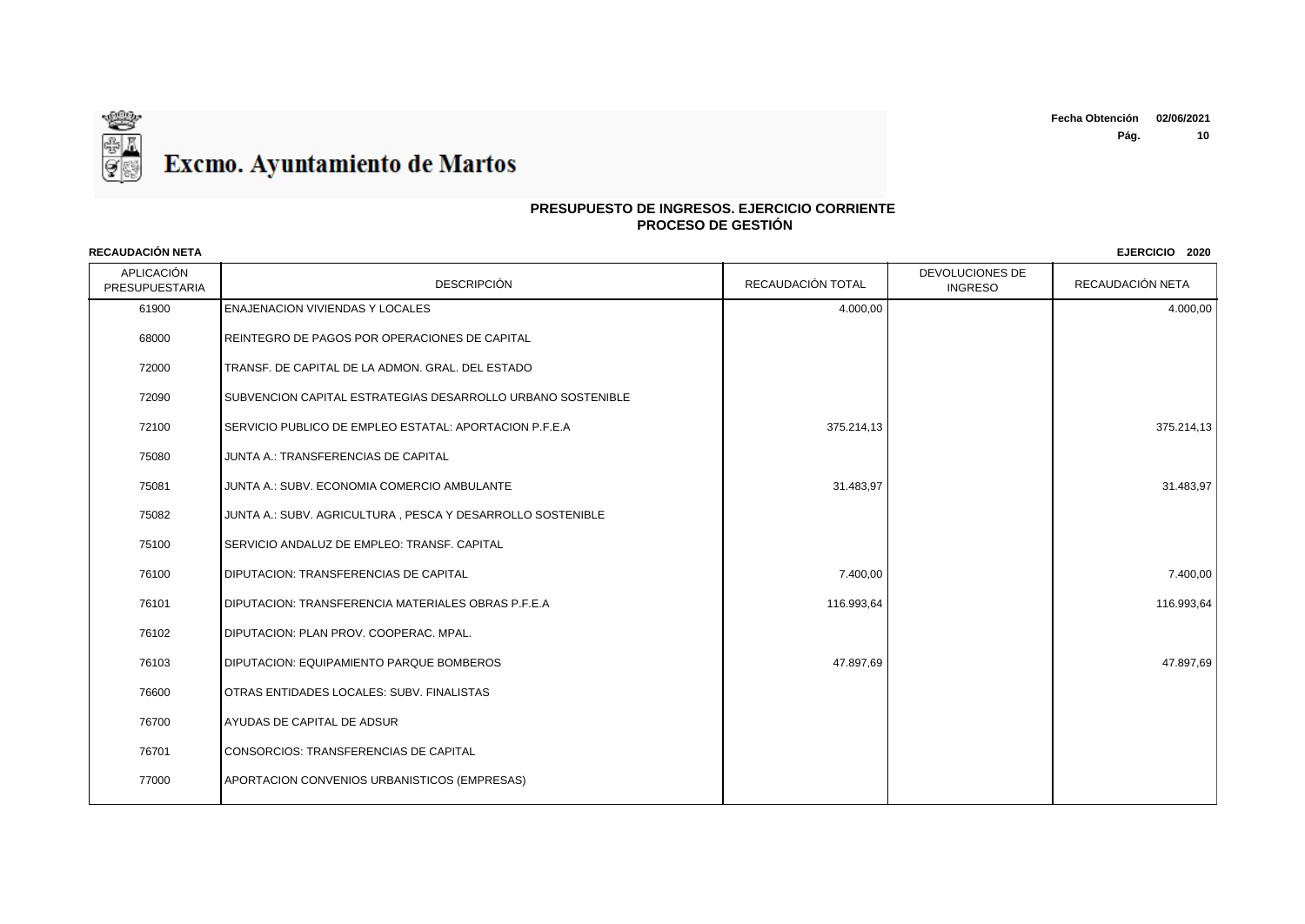

| <b>RECAUDACIÓN NETA</b><br>EJERCICIO 2020 |                                                             |                   |                                   |                  |
|-------------------------------------------|-------------------------------------------------------------|-------------------|-----------------------------------|------------------|
| APLICACIÓN<br>PRESUPUESTARIA              | <b>DESCRIPCIÓN</b>                                          | RECAUDACIÓN TOTAL | DEVOLUCIONES DE<br><b>INGRESO</b> | RECAUDACIÓN NETA |
| 61900                                     | <b>ENAJENACION VIVIENDAS Y LOCALES</b>                      | 4.000,00          |                                   | 4.000,00         |
| 68000                                     | REINTEGRO DE PAGOS POR OPERACIONES DE CAPITAL               |                   |                                   |                  |
| 72000                                     | TRANSF. DE CAPITAL DE LA ADMON. GRAL. DEL ESTADO            |                   |                                   |                  |
| 72090                                     | SUBVENCION CAPITAL ESTRATEGIAS DESARROLLO URBANO SOSTENIBLE |                   |                                   |                  |
| 72100                                     | SERVICIO PUBLICO DE EMPLEO ESTATAL: APORTACION P.F.E.A      | 375.214,13        |                                   | 375.214,13       |
| 75080                                     | JUNTA A.: TRANSFERENCIAS DE CAPITAL                         |                   |                                   |                  |
| 75081                                     | JUNTA A.: SUBV. ECONOMIA COMERCIO AMBULANTE                 | 31.483,97         |                                   | 31.483,97        |
| 75082                                     | JUNTA A.: SUBV. AGRICULTURA, PESCA Y DESARROLLO SOSTENIBLE  |                   |                                   |                  |
| 75100                                     | SERVICIO ANDALUZ DE EMPLEO: TRANSF. CAPITAL                 |                   |                                   |                  |
| 76100                                     | DIPUTACION: TRANSFERENCIAS DE CAPITAL                       | 7.400,00          |                                   | 7.400,00         |
| 76101                                     | DIPUTACION: TRANSFERENCIA MATERIALES OBRAS P.F.E.A          | 116.993,64        |                                   | 116.993,64       |
| 76102                                     | DIPUTACION: PLAN PROV. COOPERAC. MPAL.                      |                   |                                   |                  |
| 76103                                     | <b>DIPUTACION: EQUIPAMIENTO PARQUE BOMBEROS</b>             | 47.897,69         |                                   | 47.897,69        |
| 76600                                     | OTRAS ENTIDADES LOCALES: SUBV. FINALISTAS                   |                   |                                   |                  |
| 76700                                     | AYUDAS DE CAPITAL DE ADSUR                                  |                   |                                   |                  |
| 76701                                     | CONSORCIOS: TRANSFERENCIAS DE CAPITAL                       |                   |                                   |                  |
| 77000                                     | APORTACION CONVENIOS URBANISTICOS (EMPRESAS)                |                   |                                   |                  |
|                                           |                                                             |                   |                                   |                  |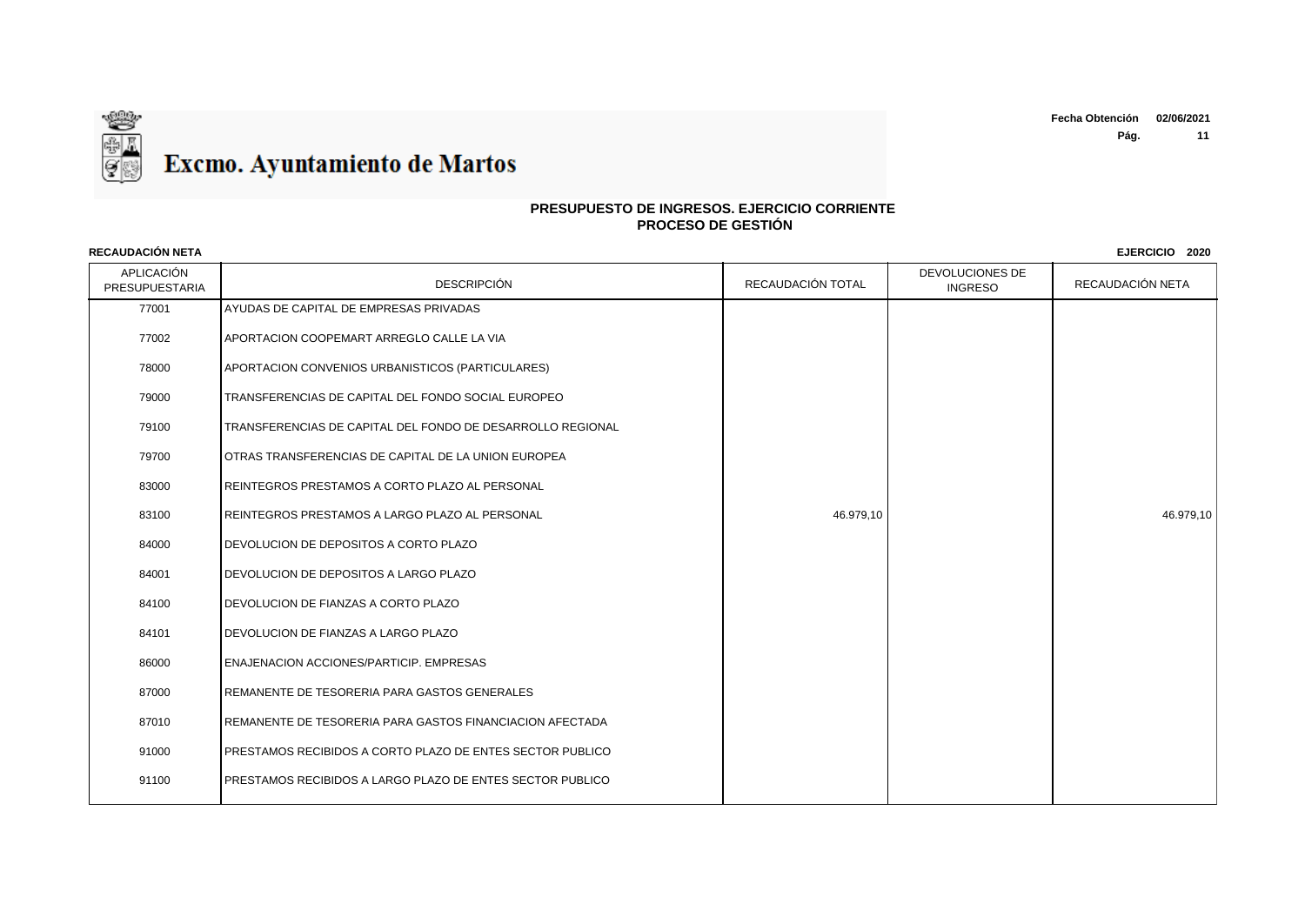

| RECAUDACIÓN NETA             |                                                            |                   |                                   | EJERCICIO 2020   |
|------------------------------|------------------------------------------------------------|-------------------|-----------------------------------|------------------|
| APLICACIÓN<br>PRESUPUESTARIA | <b>DESCRIPCIÓN</b>                                         | RECAUDACIÓN TOTAL | DEVOLUCIONES DE<br><b>INGRESO</b> | RECAUDACIÓN NETA |
| 77001                        | AYUDAS DE CAPITAL DE EMPRESAS PRIVADAS                     |                   |                                   |                  |
| 77002                        | APORTACION COOPEMART ARREGLO CALLE LA VIA                  |                   |                                   |                  |
| 78000                        | APORTACION CONVENIOS URBANISTICOS (PARTICULARES)           |                   |                                   |                  |
| 79000                        | TRANSFERENCIAS DE CAPITAL DEL FONDO SOCIAL EUROPEO         |                   |                                   |                  |
| 79100                        | TRANSFERENCIAS DE CAPITAL DEL FONDO DE DESARROLLO REGIONAL |                   |                                   |                  |
| 79700                        | OTRAS TRANSFERENCIAS DE CAPITAL DE LA UNION EUROPEA        |                   |                                   |                  |
| 83000                        | REINTEGROS PRESTAMOS A CORTO PLAZO AL PERSONAL             |                   |                                   |                  |
| 83100                        | REINTEGROS PRESTAMOS A LARGO PLAZO AL PERSONAL             | 46.979,10         |                                   | 46.979,10        |
| 84000                        | DEVOLUCION DE DEPOSITOS A CORTO PLAZO                      |                   |                                   |                  |
| 84001                        | DEVOLUCION DE DEPOSITOS A LARGO PLAZO                      |                   |                                   |                  |
| 84100                        | DEVOLUCION DE FIANZAS A CORTO PLAZO                        |                   |                                   |                  |
| 84101                        | I DEVOLUCION DE FIANZAS A LARGO PLAZO                      |                   |                                   |                  |
| 86000                        | <b>ENAJENACION ACCIONES/PARTICIP. EMPRESAS</b>             |                   |                                   |                  |
| 87000                        | REMANENTE DE TESORERIA PARA GASTOS GENERALES               |                   |                                   |                  |
| 87010                        | REMANENTE DE TESORERIA PARA GASTOS FINANCIACION AFECTADA   |                   |                                   |                  |
| 91000                        | PRESTAMOS RECIBIDOS A CORTO PLAZO DE ENTES SECTOR PUBLICO  |                   |                                   |                  |
| 91100                        | PRESTAMOS RECIBIDOS A LARGO PLAZO DE ENTES SECTOR PUBLICO  |                   |                                   |                  |
|                              |                                                            |                   |                                   |                  |